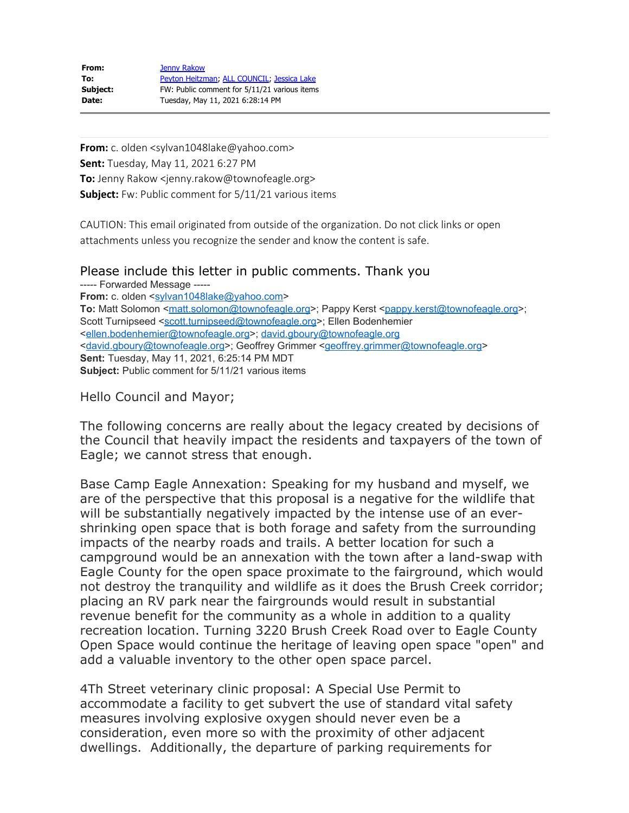| From:    | <b>Jenny Rakow</b>                           |
|----------|----------------------------------------------|
| To:      | Peyton Heitzman, ALL COUNCIL, Jessica Lake   |
| Subject: | FW: Public comment for 5/11/21 various items |
| Date:    | Tuesday, May 11, 2021 6:28:14 PM             |

**From:** c. olden <sylvan1048lake@yahoo.com> **Sent:** Tuesday, May 11, 2021 6:27 PM **To:** Jenny Rakow <jenny.rakow@townofeagle.org> **Subject:** Fw: Public comment for 5/11/21 various items

CAUTION: This email originated from outside of the organization. Do not click links or open attachments unless you recognize the sender and know the content is safe.

Please include this letter in public comments. Thank you

----- Forwarded Message ---- From: c. olden <[sylvan1048lake@yahoo.com>](mailto:sylvan1048lake@yahoo.com) **To:** Matt Solomon [<matt.solomon@townofeagle.org](mailto:matt.solomon@townofeagle.org)>; Pappy Kerst [<pappy.kerst@townofeagle.org](mailto:pappy.kerst@townofeagle.org)>; Scott Turnipseed [<scott.turnipseed@townofeagle.org](mailto:scott.turnipseed@townofeagle.org)>; Ellen Bodenhemier [<ellen.bodenhemier@townofeagle.org](mailto:ellen.bodenhemier@townofeagle.org)>; [david.gboury@townofeagle.org](mailto:david.gboury@townofeagle.org) [<david.gboury@townofeagle.org](mailto:david.gboury@townofeagle.org)>; Geoffrey Grimmer [<geoffrey.grimmer@townofeagle.org](mailto:geoffrey.grimmer@townofeagle.org)> **Sent:** Tuesday, May 11, 2021, 6:25:14 PM MDT **Subject:** Public comment for 5/11/21 various items

Hello Council and Mayor;

The following concerns are really about the legacy created by decisions of the Council that heavily impact the residents and taxpayers of the town of Eagle; we cannot stress that enough.

Base Camp Eagle Annexation: Speaking for my husband and myself, we are of the perspective that this proposal is a negative for the wildlife that will be substantially negatively impacted by the intense use of an evershrinking open space that is both forage and safety from the surrounding impacts of the nearby roads and trails. A better location for such a campground would be an annexation with the town after a land-swap with Eagle County for the open space proximate to the fairground, which would not destroy the tranquility and wildlife as it does the Brush Creek corridor; placing an RV park near the fairgrounds would result in substantial revenue benefit for the community as a whole in addition to a quality recreation location. Turning 3220 Brush Creek Road over to Eagle County Open Space would continue the heritage of leaving open space "open" and add a valuable inventory to the other open space parcel.

4Th Street veterinary clinic proposal: A Special Use Permit to accommodate a facility to get subvert the use of standard vital safety measures involving explosive oxygen should never even be a consideration, even more so with the proximity of other adjacent dwellings. Additionally, the departure of parking requirements for